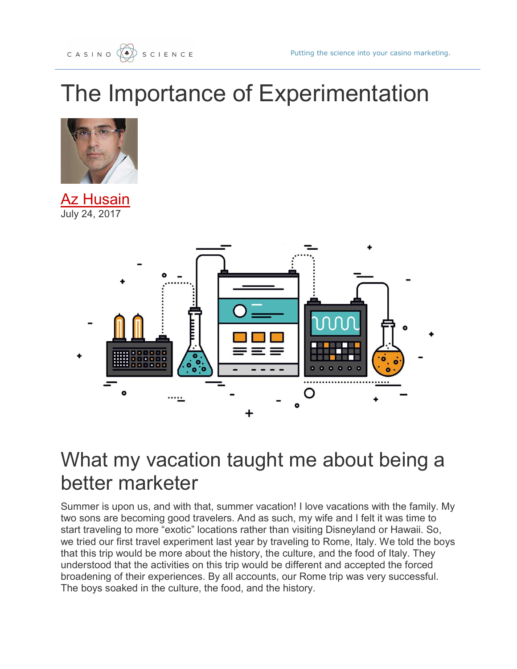

## The Importance of Experimentation



Az Husain July 24, 2017



## What my vacation taught me about being a better marketer

Summer is upon us, and with that, summer vacation! I love vacations with the family. My two sons are becoming good travelers. And as such, my wife and I felt it was time to start traveling to more "exotic" locations rather than visiting Disneyland or Hawaii. So, we tried our first travel experiment last year by traveling to Rome, Italy. We told the boys that this trip would be more about the history, the culture, and the food of Italy. They understood that the activities on this trip would be different and accepted the forced broadening of their experiences. By all accounts, our Rome trip was very successful. The boys soaked in the culture, the food, and the history.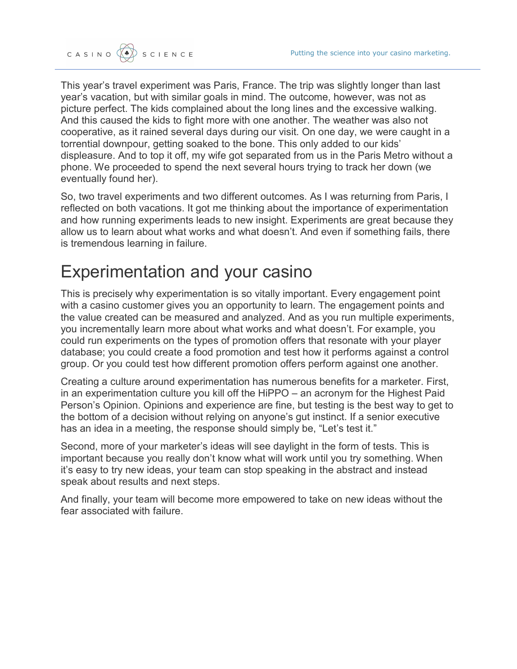

This year's travel experiment was Paris, France. The trip was slightly longer than last year's vacation, but with similar goals in mind. The outcome, however, was not as picture perfect. The kids complained about the long lines and the excessive walking. And this caused the kids to fight more with one another. The weather was also not cooperative, as it rained several days during our visit. On one day, we were caught in a torrential downpour, getting soaked to the bone. This only added to our kids' displeasure. And to top it off, my wife got separated from us in the Paris Metro without a phone. We proceeded to spend the next several hours trying to track her down (we eventually found her).

So, two travel experiments and two different outcomes. As I was returning from Paris, I reflected on both vacations. It got me thinking about the importance of experimentation and how running experiments leads to new insight. Experiments are great because they allow us to learn about what works and what doesn't. And even if something fails, there is tremendous learning in failure.

## Experimentation and your casino

This is precisely why experimentation is so vitally important. Every engagement point with a casino customer gives you an opportunity to learn. The engagement points and the value created can be measured and analyzed. And as you run multiple experiments, you incrementally learn more about what works and what doesn't. For example, you could run experiments on the types of promotion offers that resonate with your player database; you could create a food promotion and test how it performs against a control group. Or you could test how different promotion offers perform against one another.

Creating a culture around experimentation has numerous benefits for a marketer. First, in an experimentation culture you kill off the HiPPO – an acronym for the Highest Paid Person's Opinion. Opinions and experience are fine, but testing is the best way to get to the bottom of a decision without relying on anyone's gut instinct. If a senior executive has an idea in a meeting, the response should simply be, "Let's test it."

Second, more of your marketer's ideas will see daylight in the form of tests. This is important because you really don't know what will work until you try something. When it's easy to try new ideas, your team can stop speaking in the abstract and instead speak about results and next steps.

And finally, your team will become more empowered to take on new ideas without the fear associated with failure.